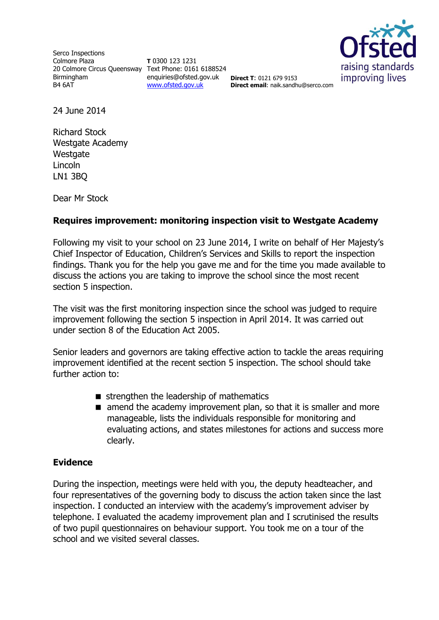Serco Inspections Colmore Plaza 20 Colmore Circus Queensway Text Phone: 0161 6188524 Birmingham B4 6AT

**T** 0300 123 1231 enquiries@ofsted.gov.uk **Direct T**: 0121 679 9153 [www.ofsted.gov.uk](http://www.ofsted.gov.uk/)



**Direct email**: naik.sandhu@serco.com

24 June 2014

Richard Stock Westgate Academy **Westgate** Lincoln LN1 3BQ

Dear Mr Stock

## **Requires improvement: monitoring inspection visit to Westgate Academy**

Following my visit to your school on 23 June 2014, I write on behalf of Her Majesty's Chief Inspector of Education, Children's Services and Skills to report the inspection findings. Thank you for the help you gave me and for the time you made available to discuss the actions you are taking to improve the school since the most recent section 5 inspection.

The visit was the first monitoring inspection since the school was judged to require improvement following the section 5 inspection in April 2014. It was carried out under section 8 of the Education Act 2005.

Senior leaders and governors are taking effective action to tackle the areas requiring improvement identified at the recent section 5 inspection. The school should take further action to:

- $\blacksquare$  strengthen the leadership of mathematics
- $\blacksquare$  amend the academy improvement plan, so that it is smaller and more manageable, lists the individuals responsible for monitoring and evaluating actions, and states milestones for actions and success more clearly.

## **Evidence**

During the inspection, meetings were held with you, the deputy headteacher, and four representatives of the governing body to discuss the action taken since the last inspection. I conducted an interview with the academy's improvement adviser by telephone. I evaluated the academy improvement plan and I scrutinised the results of two pupil questionnaires on behaviour support. You took me on a tour of the school and we visited several classes.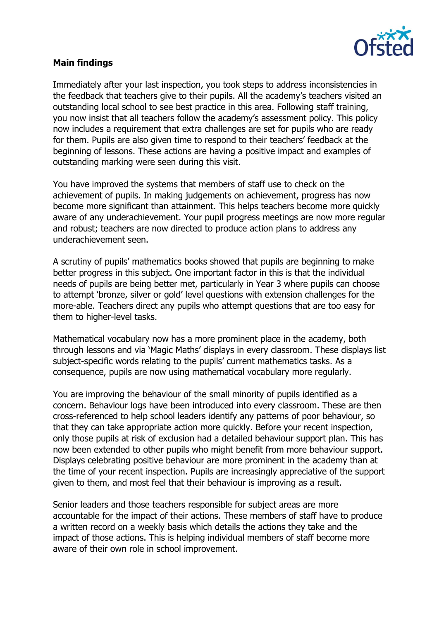

## **Main findings**

Immediately after your last inspection, you took steps to address inconsistencies in the feedback that teachers give to their pupils. All the academy's teachers visited an outstanding local school to see best practice in this area. Following staff training, you now insist that all teachers follow the academy's assessment policy. This policy now includes a requirement that extra challenges are set for pupils who are ready for them. Pupils are also given time to respond to their teachers' feedback at the beginning of lessons. These actions are having a positive impact and examples of outstanding marking were seen during this visit.

You have improved the systems that members of staff use to check on the achievement of pupils. In making judgements on achievement, progress has now become more significant than attainment. This helps teachers become more quickly aware of any underachievement. Your pupil progress meetings are now more regular and robust; teachers are now directed to produce action plans to address any underachievement seen.

A scrutiny of pupils' mathematics books showed that pupils are beginning to make better progress in this subject. One important factor in this is that the individual needs of pupils are being better met, particularly in Year 3 where pupils can choose to attempt 'bronze, silver or gold' level questions with extension challenges for the more-able. Teachers direct any pupils who attempt questions that are too easy for them to higher-level tasks.

Mathematical vocabulary now has a more prominent place in the academy, both through lessons and via 'Magic Maths' displays in every classroom. These displays list subject-specific words relating to the pupils' current mathematics tasks. As a consequence, pupils are now using mathematical vocabulary more regularly.

You are improving the behaviour of the small minority of pupils identified as a concern. Behaviour logs have been introduced into every classroom. These are then cross-referenced to help school leaders identify any patterns of poor behaviour, so that they can take appropriate action more quickly. Before your recent inspection, only those pupils at risk of exclusion had a detailed behaviour support plan. This has now been extended to other pupils who might benefit from more behaviour support. Displays celebrating positive behaviour are more prominent in the academy than at the time of your recent inspection. Pupils are increasingly appreciative of the support given to them, and most feel that their behaviour is improving as a result.

Senior leaders and those teachers responsible for subject areas are more accountable for the impact of their actions. These members of staff have to produce a written record on a weekly basis which details the actions they take and the impact of those actions. This is helping individual members of staff become more aware of their own role in school improvement.